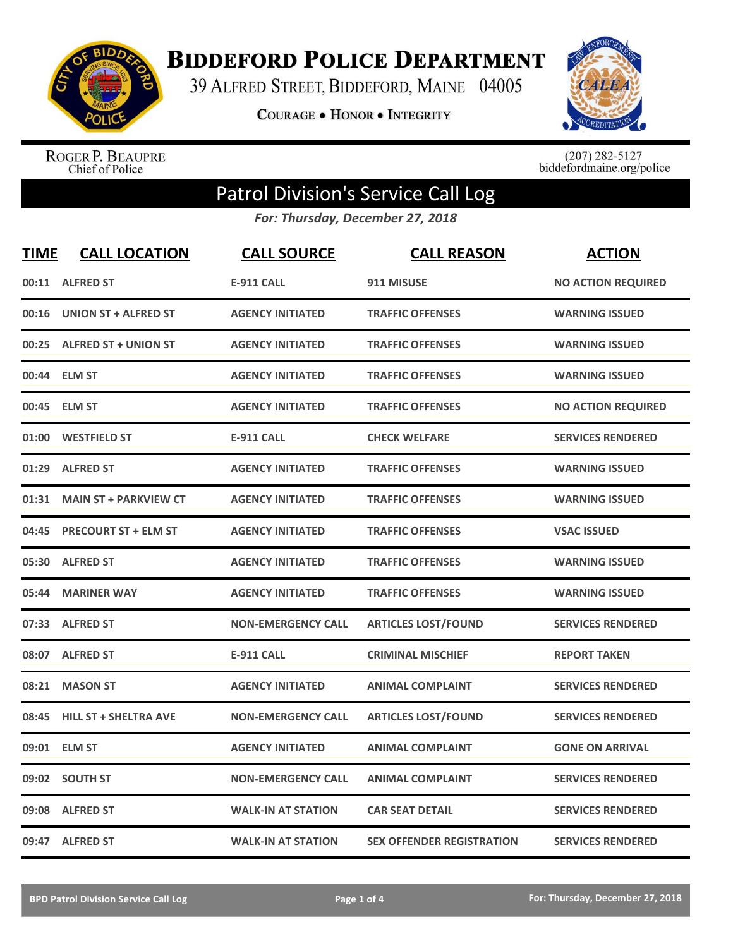

**BIDDEFORD POLICE DEPARTMENT** 

39 ALFRED STREET, BIDDEFORD, MAINE 04005

**COURAGE . HONOR . INTEGRITY** 



ROGER P. BEAUPRE<br>Chief of Police

 $(207)$  282-5127<br>biddefordmaine.org/police

## Patrol Division's Service Call Log

*For: Thursday, December 27, 2018*

| <b>TIME</b> | <b>CALL LOCATION</b>         | <b>CALL SOURCE</b>        | <b>CALL REASON</b>               | <b>ACTION</b>             |
|-------------|------------------------------|---------------------------|----------------------------------|---------------------------|
| 00:11       | <b>ALFRED ST</b>             | <b>E-911 CALL</b>         | 911 MISUSE                       | <b>NO ACTION REQUIRED</b> |
| 00:16       | <b>UNION ST + ALFRED ST</b>  | <b>AGENCY INITIATED</b>   | <b>TRAFFIC OFFENSES</b>          | <b>WARNING ISSUED</b>     |
|             | 00:25 ALFRED ST + UNION ST   | <b>AGENCY INITIATED</b>   | <b>TRAFFIC OFFENSES</b>          | <b>WARNING ISSUED</b>     |
| 00:44       | <b>ELM ST</b>                | <b>AGENCY INITIATED</b>   | <b>TRAFFIC OFFENSES</b>          | <b>WARNING ISSUED</b>     |
| 00:45       | <b>ELM ST</b>                | <b>AGENCY INITIATED</b>   | <b>TRAFFIC OFFENSES</b>          | <b>NO ACTION REQUIRED</b> |
| 01:00       | <b>WESTFIELD ST</b>          | <b>E-911 CALL</b>         | <b>CHECK WELFARE</b>             | <b>SERVICES RENDERED</b>  |
| 01:29       | <b>ALFRED ST</b>             | <b>AGENCY INITIATED</b>   | <b>TRAFFIC OFFENSES</b>          | <b>WARNING ISSUED</b>     |
| 01:31       | <b>MAIN ST + PARKVIEW CT</b> | <b>AGENCY INITIATED</b>   | <b>TRAFFIC OFFENSES</b>          | <b>WARNING ISSUED</b>     |
| 04:45       | <b>PRECOURT ST + ELM ST</b>  | <b>AGENCY INITIATED</b>   | <b>TRAFFIC OFFENSES</b>          | <b>VSAC ISSUED</b>        |
| 05:30       | <b>ALFRED ST</b>             | <b>AGENCY INITIATED</b>   | <b>TRAFFIC OFFENSES</b>          | <b>WARNING ISSUED</b>     |
| 05:44       | <b>MARINER WAY</b>           | <b>AGENCY INITIATED</b>   | <b>TRAFFIC OFFENSES</b>          | <b>WARNING ISSUED</b>     |
|             | 07:33 ALFRED ST              | <b>NON-EMERGENCY CALL</b> | <b>ARTICLES LOST/FOUND</b>       | <b>SERVICES RENDERED</b>  |
| 08:07       | <b>ALFRED ST</b>             | <b>E-911 CALL</b>         | <b>CRIMINAL MISCHIEF</b>         | <b>REPORT TAKEN</b>       |
| 08:21       | <b>MASON ST</b>              | <b>AGENCY INITIATED</b>   | <b>ANIMAL COMPLAINT</b>          | <b>SERVICES RENDERED</b>  |
| 08:45       | <b>HILL ST + SHELTRA AVE</b> | <b>NON-EMERGENCY CALL</b> | <b>ARTICLES LOST/FOUND</b>       | <b>SERVICES RENDERED</b>  |
| 09:01       | <b>ELM ST</b>                | <b>AGENCY INITIATED</b>   | <b>ANIMAL COMPLAINT</b>          | <b>GONE ON ARRIVAL</b>    |
| 09:02       | <b>SOUTH ST</b>              | <b>NON-EMERGENCY CALL</b> | <b>ANIMAL COMPLAINT</b>          | <b>SERVICES RENDERED</b>  |
| 09:08       | <b>ALFRED ST</b>             | <b>WALK-IN AT STATION</b> | <b>CAR SEAT DETAIL</b>           | <b>SERVICES RENDERED</b>  |
|             | 09:47 ALFRED ST              | <b>WALK-IN AT STATION</b> | <b>SEX OFFENDER REGISTRATION</b> | <b>SERVICES RENDERED</b>  |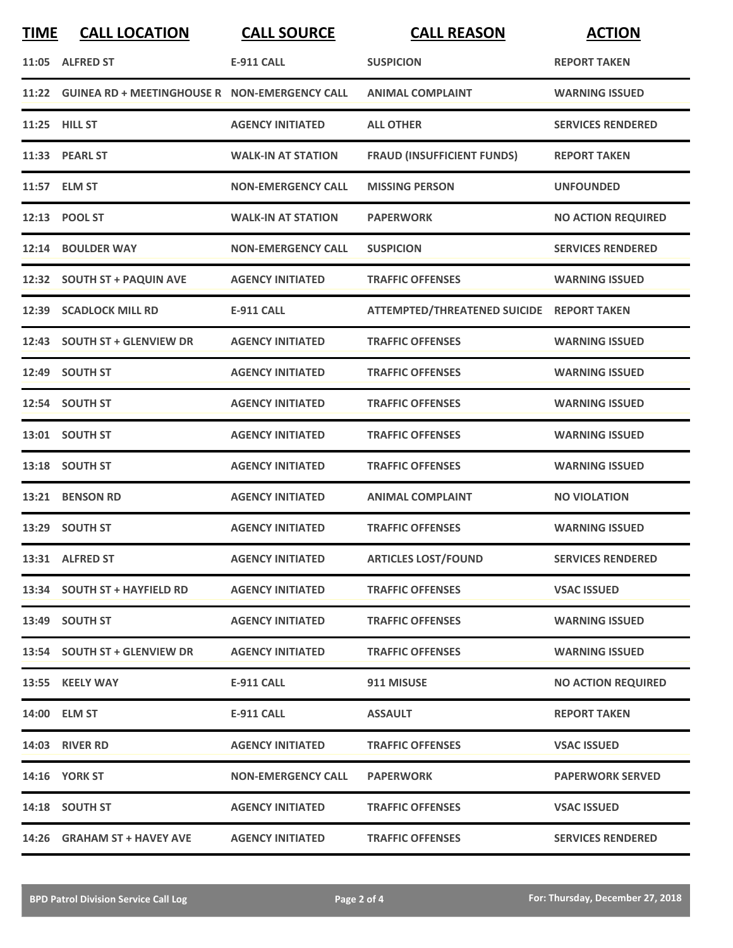| <b>TIME</b> | <b>CALL LOCATION</b>                                | <b>CALL SOURCE</b>        | <b>CALL REASON</b>                        | <b>ACTION</b>             |
|-------------|-----------------------------------------------------|---------------------------|-------------------------------------------|---------------------------|
|             | 11:05 ALFRED ST                                     | <b>E-911 CALL</b>         | <b>SUSPICION</b>                          | <b>REPORT TAKEN</b>       |
|             | 11:22 GUINEA RD + MEETINGHOUSE R NON-EMERGENCY CALL |                           | <b>ANIMAL COMPLAINT</b>                   | <b>WARNING ISSUED</b>     |
|             | 11:25 HILL ST                                       | <b>AGENCY INITIATED</b>   | <b>ALL OTHER</b>                          | <b>SERVICES RENDERED</b>  |
|             | 11:33 PEARL ST                                      | <b>WALK-IN AT STATION</b> | <b>FRAUD (INSUFFICIENT FUNDS)</b>         | <b>REPORT TAKEN</b>       |
|             | 11:57 ELM ST                                        | <b>NON-EMERGENCY CALL</b> | <b>MISSING PERSON</b>                     | <b>UNFOUNDED</b>          |
|             | 12:13 POOL ST                                       | <b>WALK-IN AT STATION</b> | <b>PAPERWORK</b>                          | <b>NO ACTION REQUIRED</b> |
|             | 12:14 BOULDER WAY                                   | <b>NON-EMERGENCY CALL</b> | <b>SUSPICION</b>                          | <b>SERVICES RENDERED</b>  |
|             | 12:32 SOUTH ST + PAQUIN AVE                         | <b>AGENCY INITIATED</b>   | <b>TRAFFIC OFFENSES</b>                   | <b>WARNING ISSUED</b>     |
|             | 12:39 SCADLOCK MILL RD                              | <b>E-911 CALL</b>         | ATTEMPTED/THREATENED SUICIDE REPORT TAKEN |                           |
|             | 12:43 SOUTH ST + GLENVIEW DR                        | <b>AGENCY INITIATED</b>   | <b>TRAFFIC OFFENSES</b>                   | <b>WARNING ISSUED</b>     |
|             | 12:49 SOUTH ST                                      | <b>AGENCY INITIATED</b>   | <b>TRAFFIC OFFENSES</b>                   | <b>WARNING ISSUED</b>     |
|             | 12:54 SOUTH ST                                      | <b>AGENCY INITIATED</b>   | <b>TRAFFIC OFFENSES</b>                   | <b>WARNING ISSUED</b>     |
|             | 13:01 SOUTH ST                                      | <b>AGENCY INITIATED</b>   | <b>TRAFFIC OFFENSES</b>                   | <b>WARNING ISSUED</b>     |
|             | 13:18 SOUTH ST                                      | <b>AGENCY INITIATED</b>   | <b>TRAFFIC OFFENSES</b>                   | <b>WARNING ISSUED</b>     |
|             | 13:21 BENSON RD                                     | <b>AGENCY INITIATED</b>   | <b>ANIMAL COMPLAINT</b>                   | <b>NO VIOLATION</b>       |
|             | 13:29 SOUTH ST                                      | <b>AGENCY INITIATED</b>   | <b>TRAFFIC OFFENSES</b>                   | <b>WARNING ISSUED</b>     |
|             | 13:31 ALFRED ST                                     | <b>AGENCY INITIATED</b>   | <b>ARTICLES LOST/FOUND</b>                | <b>SERVICES RENDERED</b>  |
|             | 13:34 SOUTH ST + HAYFIELD RD                        | <b>AGENCY INITIATED</b>   | <b>TRAFFIC OFFENSES</b>                   | <b>VSAC ISSUED</b>        |
|             | 13:49 SOUTH ST                                      | <b>AGENCY INITIATED</b>   | <b>TRAFFIC OFFENSES</b>                   | <b>WARNING ISSUED</b>     |
|             | 13:54 SOUTH ST + GLENVIEW DR                        | <b>AGENCY INITIATED</b>   | <b>TRAFFIC OFFENSES</b>                   | <b>WARNING ISSUED</b>     |
|             | 13:55 KEELY WAY                                     | <b>E-911 CALL</b>         | 911 MISUSE                                | <b>NO ACTION REQUIRED</b> |
|             | 14:00 ELM ST                                        | <b>E-911 CALL</b>         | <b>ASSAULT</b>                            | <b>REPORT TAKEN</b>       |
|             | <b>14:03 RIVER RD</b>                               | <b>AGENCY INITIATED</b>   | <b>TRAFFIC OFFENSES</b>                   | <b>VSAC ISSUED</b>        |
|             | <b>14:16 YORK ST</b>                                | <b>NON-EMERGENCY CALL</b> | <b>PAPERWORK</b>                          | <b>PAPERWORK SERVED</b>   |
|             | 14:18 SOUTH ST                                      | <b>AGENCY INITIATED</b>   | <b>TRAFFIC OFFENSES</b>                   | <b>VSAC ISSUED</b>        |
|             | 14:26 GRAHAM ST + HAVEY AVE                         | <b>AGENCY INITIATED</b>   | <b>TRAFFIC OFFENSES</b>                   | <b>SERVICES RENDERED</b>  |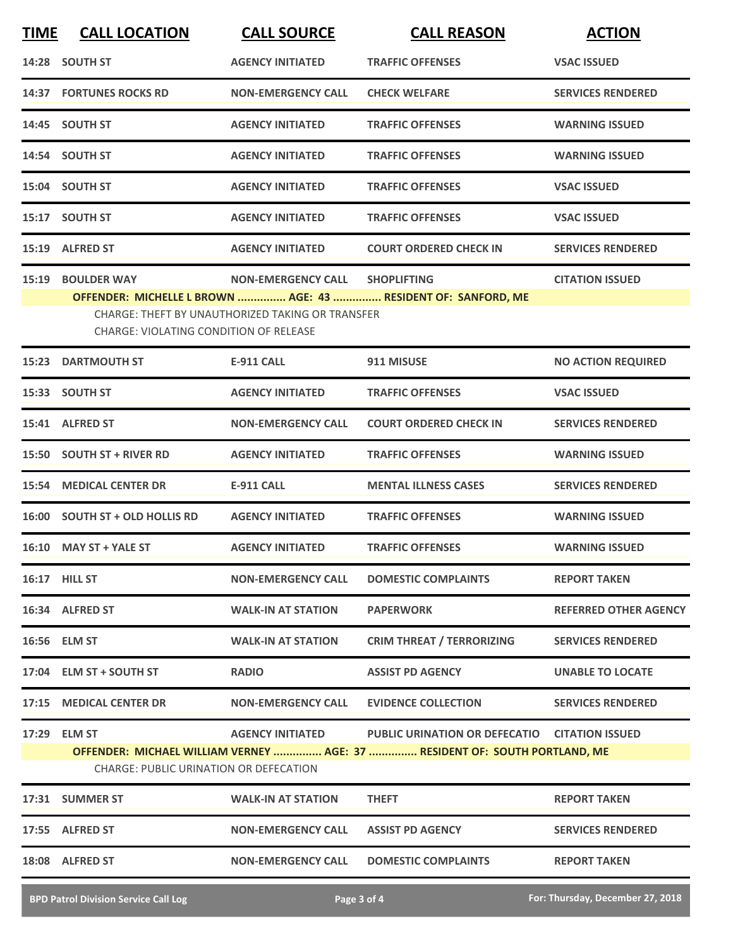| <b>TIME</b> | <b>CALL LOCATION</b>                                               | <b>CALL SOURCE</b>                                                            | <b>CALL REASON</b>                                                                                                          | <b>ACTION</b>                |
|-------------|--------------------------------------------------------------------|-------------------------------------------------------------------------------|-----------------------------------------------------------------------------------------------------------------------------|------------------------------|
|             | 14:28 SOUTH ST                                                     | <b>AGENCY INITIATED</b>                                                       | <b>TRAFFIC OFFENSES</b>                                                                                                     | <b>VSAC ISSUED</b>           |
|             | <b>14:37 FORTUNES ROCKS RD</b>                                     | <b>NON-EMERGENCY CALL</b>                                                     | <b>CHECK WELFARE</b>                                                                                                        | <b>SERVICES RENDERED</b>     |
|             | 14:45 SOUTH ST                                                     | <b>AGENCY INITIATED</b>                                                       | <b>TRAFFIC OFFENSES</b>                                                                                                     | <b>WARNING ISSUED</b>        |
|             | 14:54 SOUTH ST                                                     | <b>AGENCY INITIATED</b>                                                       | <b>TRAFFIC OFFENSES</b>                                                                                                     | <b>WARNING ISSUED</b>        |
|             | 15:04 SOUTH ST                                                     | <b>AGENCY INITIATED</b>                                                       | <b>TRAFFIC OFFENSES</b>                                                                                                     | <b>VSAC ISSUED</b>           |
|             | 15:17 SOUTH ST                                                     | <b>AGENCY INITIATED</b>                                                       | <b>TRAFFIC OFFENSES</b>                                                                                                     | <b>VSAC ISSUED</b>           |
|             | 15:19 ALFRED ST                                                    | <b>AGENCY INITIATED</b>                                                       | <b>COURT ORDERED CHECK IN</b>                                                                                               | <b>SERVICES RENDERED</b>     |
|             | 15:19 BOULDER WAY<br><b>CHARGE: VIOLATING CONDITION OF RELEASE</b> | <b>NON-EMERGENCY CALL</b><br>CHARGE: THEFT BY UNAUTHORIZED TAKING OR TRANSFER | <b>SHOPLIFTING</b><br>OFFENDER: MICHELLE L BROWN  AGE: 43  RESIDENT OF: SANFORD, ME                                         | <b>CITATION ISSUED</b>       |
|             | <b>15:23 DARTMOUTH ST</b>                                          | <b>E-911 CALL</b>                                                             | 911 MISUSE                                                                                                                  | <b>NO ACTION REQUIRED</b>    |
|             | 15:33 SOUTH ST                                                     | <b>AGENCY INITIATED</b>                                                       | <b>TRAFFIC OFFENSES</b>                                                                                                     | <b>VSAC ISSUED</b>           |
|             | 15:41 ALFRED ST                                                    | <b>NON-EMERGENCY CALL</b>                                                     | <b>COURT ORDERED CHECK IN</b>                                                                                               | <b>SERVICES RENDERED</b>     |
|             | 15:50 SOUTH ST + RIVER RD                                          | <b>AGENCY INITIATED</b>                                                       | <b>TRAFFIC OFFENSES</b>                                                                                                     | <b>WARNING ISSUED</b>        |
|             | <b>15:54 MEDICAL CENTER DR</b>                                     | <b>E-911 CALL</b>                                                             | <b>MENTAL ILLNESS CASES</b>                                                                                                 | <b>SERVICES RENDERED</b>     |
|             | 16:00 SOUTH ST + OLD HOLLIS RD                                     | <b>AGENCY INITIATED</b>                                                       | <b>TRAFFIC OFFENSES</b>                                                                                                     | <b>WARNING ISSUED</b>        |
|             | 16:10 MAY ST + YALE ST                                             | <b>AGENCY INITIATED</b>                                                       | <b>TRAFFIC OFFENSES</b>                                                                                                     | <b>WARNING ISSUED</b>        |
|             | 16:17 HILL ST                                                      | <b>NON-EMERGENCY CALL</b>                                                     | <b>DOMESTIC COMPLAINTS</b>                                                                                                  | <b>REPORT TAKEN</b>          |
|             | 16:34 ALFRED ST                                                    | <b>WALK-IN AT STATION</b>                                                     | <b>PAPERWORK</b>                                                                                                            | <b>REFERRED OTHER AGENCY</b> |
|             | 16:56 ELM ST                                                       | <b>WALK-IN AT STATION</b>                                                     | <b>CRIM THREAT / TERRORIZING</b>                                                                                            | <b>SERVICES RENDERED</b>     |
|             | 17:04 ELM ST + SOUTH ST                                            | <b>RADIO</b>                                                                  | <b>ASSIST PD AGENCY</b>                                                                                                     | <b>UNABLE TO LOCATE</b>      |
|             | 17:15 MEDICAL CENTER DR                                            | <b>NON-EMERGENCY CALL</b>                                                     | <b>EVIDENCE COLLECTION</b>                                                                                                  | <b>SERVICES RENDERED</b>     |
|             | 17:29 ELM ST<br><b>CHARGE: PUBLIC URINATION OR DEFECATION</b>      | <b>AGENCY INITIATED</b>                                                       | PUBLIC URINATION OR DEFECATIO CITATION ISSUED<br>OFFENDER: MICHAEL WILLIAM VERNEY  AGE: 37  RESIDENT OF: SOUTH PORTLAND, ME |                              |
|             | 17:31 SUMMER ST                                                    | <b>WALK-IN AT STATION</b>                                                     | <b>THEFT</b>                                                                                                                | <b>REPORT TAKEN</b>          |
|             | 17:55 ALFRED ST                                                    | <b>NON-EMERGENCY CALL</b>                                                     | <b>ASSIST PD AGENCY</b>                                                                                                     | <b>SERVICES RENDERED</b>     |
|             | 18:08 ALFRED ST                                                    | <b>NON-EMERGENCY CALL</b>                                                     | <b>DOMESTIC COMPLAINTS</b>                                                                                                  | <b>REPORT TAKEN</b>          |